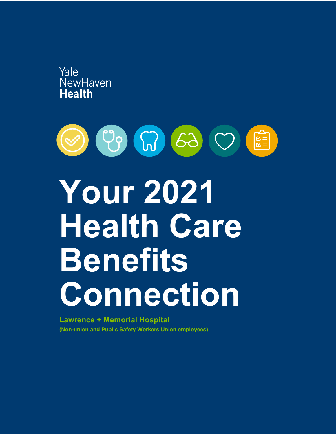



**Lawrence + Memorial Hospital (Non-union and Public Safety Workers Union employees)**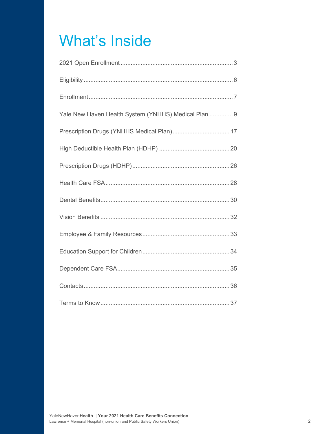## What's Inside

| Yale New Haven Health System (YNHHS) Medical Plan  9 |
|------------------------------------------------------|
|                                                      |
|                                                      |
|                                                      |
|                                                      |
|                                                      |
|                                                      |
|                                                      |
|                                                      |
|                                                      |
|                                                      |
|                                                      |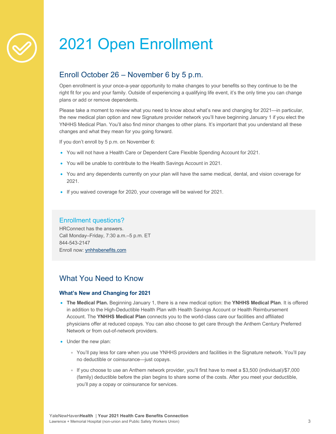

## 2021 Open Enrollment

## Enroll October 26 – November 6 by 5 p.m.

Open enrollment is your once-a-year opportunity to make changes to your benefits so they continue to be the right fit for you and your family. Outside of experiencing a qualifying life event, it's the only time you can change plans or add or remove dependents.

Please take a moment to review what you need to know about what's new and changing for 2021—in particular, the new medical plan option and new Signature provider network you'll have beginning January 1 if you elect the YNHHS Medical Plan. You'll also find minor changes to other plans. It's important that you understand all these changes and what they mean for you going forward.

If you don't enroll by 5 p.m. on November 6:

- You will not have a Health Care or Dependent Care Flexible Spending Account for 2021.
- You will be unable to contribute to the Health Savings Account in 2021.
- You and any dependents currently on your plan will have the same medical, dental, and vision coverage for 2021.
- If you waived coverage for 2020, your coverage will be waived for 2021.

### Enrollment questions?

HRConnect has the answers. Call Monday–Friday, 7:30 a.m.–5 p.m. ET 844-543-2147 Enroll now: ynhhsbenefits.com

## What You Need to Know

#### **What's New and Changing for 2021**

- **The Medical Plan.** Beginning January 1, there is a new medical option: the **YNHHS Medical Plan**. It is offered in addition to the High-Deductible Health Plan with Health Savings Account or Health Reimbursement Account. The **YNHHS Medical Plan** connects you to the world-class care our facilities and affiliated physicians offer at reduced copays. You can also choose to get care through the Anthem Century Preferred Network or from out-of-network providers.
- Under the new plan:
	- You'll pay less for care when you use YNHHS providers and facilities in the Signature network. You'll pay no deductible or coinsurance—just copays.
	- If you choose to use an Anthem network provider, you'll first have to meet a \$3,500 (individual)/\$7,000 (family) deductible before the plan begins to share some of the costs. After you meet your deductible, you'll pay a copay or coinsurance for services.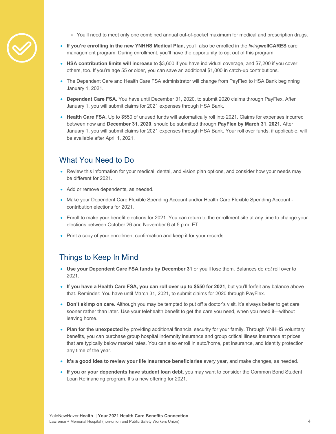

- You'll need to meet only one combined annual out-of-pocket maximum for medical and prescription drugs.
- **If you're enrolling in the new YNHHS Medical Plan,** you'll also be enrolled in the *living***wellCARES** care management program. During enrollment, you'll have the opportunity to opt out of this program.
- **HSA contribution limits will increase** to \$3,600 if you have individual coverage, and \$7,200 if you cover others, too. If you're age 55 or older, you can save an additional \$1,000 in catch-up contributions.
- The Dependent Care and Health Care FSA administrator will change from PayFlex to HSA Bank beginning January 1, 2021.
- **Dependent Care FSA.** You have until December 31, 2020, to submit 2020 claims through PayFlex. After January 1, you will submit claims for 2021 expenses through HSA Bank.
- Health Care FSA. Up to \$550 of unused funds will automatically roll into 2021. Claims for expenses incurred between now and **December 31, 2020**, should be submitted through **PayFlex by March 31**, **2021.** After January 1, you will submit claims for 2021 expenses through HSA Bank. Your roll over funds, if applicable, will be available after April 1, 2021.

## What You Need to Do

- Review this information for your medical, dental, and vision plan options, and consider how your needs may be different for 2021.
- Add or remove dependents, as needed.
- Make your Dependent Care Flexible Spending Account and/or Health Care Flexible Spending Account contribution elections for 2021.
- Enroll to make your benefit elections for 2021. You can return to the enrollment site at any time to change your elections between October 26 and November 6 at 5 p.m. ET.
- Print a copy of your enrollment confirmation and keep it for your records.

### Things to Keep In Mind

- **Use your Dependent Care FSA funds by December 31** or you'll lose them. Balances do *not* roll over to 2021.
- **If you have a Health Care FSA, you can roll over up to \$550 for 2021**, but you'll forfeit any balance above that. Reminder: You have until March 31, 2021, to submit claims for 2020 through PayFlex.
- **Don't skimp on care.** Although you may be tempted to put off a doctor's visit, it's always better to get care sooner rather than later. Use your telehealth benefit to get the care you need, when you need it—without leaving home.
- **Plan for the unexpected** by providing additional financial security for your family. Through YNHHS voluntary benefits, you can purchase group hospital indemnity insurance and group critical illness insurance at prices that are typically below market rates. You can also enroll in auto/home, pet insurance, and identity protection any time of the year.
- **It's a good idea to review your life insurance beneficiaries** every year, and make changes, as needed.
- **If you or your dependents have student loan debt,** you may want to consider the Common Bond Student Loan Refinancing program. It's a new offering for 2021.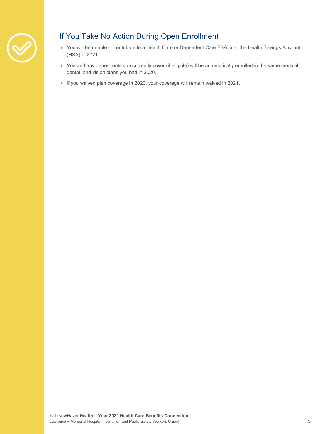

## If You Take No Action During Open Enrollment

- You will be unable to contribute to a Health Care or Dependent Care FSA or to the Health Savings Account (HSA) in 2021.
- You and any dependents you currently cover (if eligible) will be automatically enrolled in the same medical, dental, and vision plans you had in 2020.
- If you waived plan coverage in 2020, your coverage will remain waived in 2021.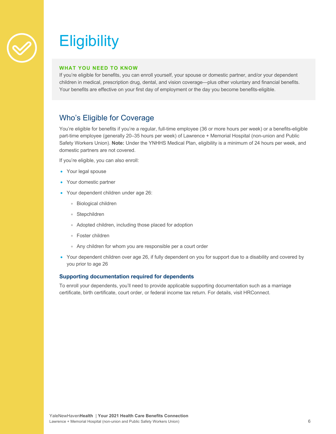

## **Eligibility**

#### **WHAT YOU NEED TO KNOW**

If you're eligible for benefits, you can enroll yourself, your spouse or domestic partner, and/or your dependent children in medical, prescription drug, dental, and vision coverage—plus other voluntary and financial benefits. Your benefits are effective on your first day of employment or the day you become benefits-eligible.

## Who's Eligible for Coverage

You're eligible for benefits if you're a regular, full-time employee (36 or more hours per week) or a benefits-eligible part-time employee (generally 20–35 hours per week) of Lawrence + Memorial Hospital (non-union and Public Safety Workers Union). **Note:** Under the YNHHS Medical Plan, eligibility is a minimum of 24 hours per week, and domestic partners are not covered.

If you're eligible, you can also enroll:

- Your legal spouse
- Your domestic partner
- Your dependent children under age 26:
	- Biological children
	- Stepchildren
	- Adopted children, including those placed for adoption
	- Foster children
	- Any children for whom you are responsible per a court order
- Your dependent children over age 26, if fully dependent on you for support due to a disability and covered by you prior to age 26

#### **Supporting documentation required for dependents**

To enroll your dependents, you'll need to provide applicable supporting documentation such as a marriage certificate, birth certificate, court order, or federal income tax return. For details, visit HRConnect.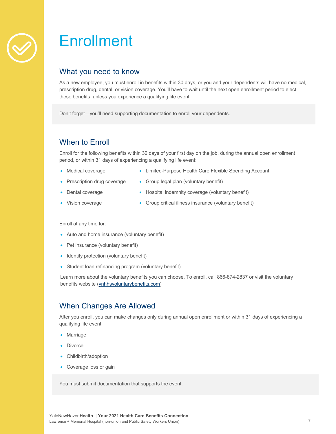

## **Enrollment**

### What you need to know

As a new employee, you must enroll in benefits within 30 days, or you and your dependents will have no medical, prescription drug, dental, or vision coverage. You'll have to wait until the next open enrollment period to elect these benefits, unless you experience a qualifying life event.

Don't forget—you'll need supporting documentation to enroll your dependents.

## When to Enroll

Enroll for the following benefits within 30 days of your first day on the job, during the annual open enrollment period, or within 31 days of experiencing a qualifying life event:

- Medical coverage
- Limited-Purpose Health Care Flexible Spending Account
- Prescription drug coverage
- Group legal plan (voluntary benefit)
- Dental coverage
- Hospital indemnity coverage (voluntary benefit)
- Vision coverage
- Group critical illness insurance (voluntary benefit)

Enroll at any time for:

- Auto and home insurance (voluntary benefit)
- Pet insurance (voluntary benefit)
- Identity protection (voluntary benefit)
- Student loan refinancing program (voluntary benefit)

Learn more about the voluntary benefits you can choose. To enroll, call 866-874-2837 or visit the voluntary benefits website (ynhhsvoluntarybenefits.com)

## When Changes Are Allowed

After you enroll, you can make changes only during annual open enrollment or within 31 days of experiencing a qualifying life event:

- Marriage
- **Divorce**
- Childbirth/adoption
- Coverage loss or gain

You must submit documentation that supports the event.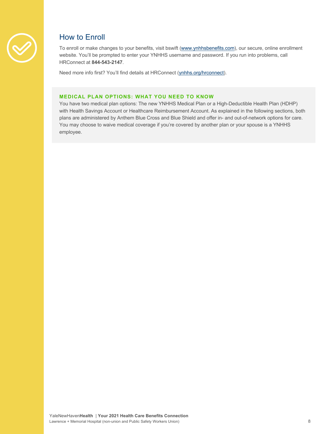

## How to Enroll

To enroll or make changes to your benefits, visit bswift (www.ynhhsbenefits.com), our secure, online enrollment website. You'll be prompted to enter your YNHHS username and password. If you run into problems, call HRConnect at **844-543-2147**.

Need more info first? You'll find details at HRConnect (ynhhs.org/hrconnect).

#### **MEDICAL PLAN OPTIONS: WHAT YOU NEED TO KNOW**

You have two medical plan options: The new YNHHS Medical Plan or a High-Deductible Health Plan (HDHP) with Health Savings Account or Healthcare Reimbursement Account. As explained in the following sections, both plans are administered by Anthem Blue Cross and Blue Shield and offer in- and out-of-network options for care. You may choose to waive medical coverage if you're covered by another plan or your spouse is a YNHHS employee.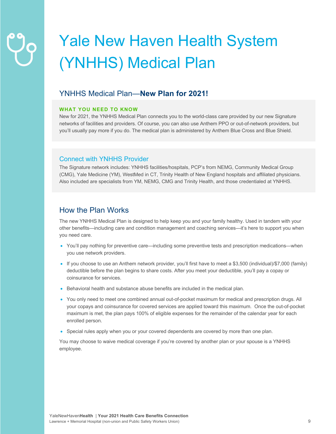## Yale New Haven Health System (YNHHS) Medical Plan

### YNHHS Medical Plan—**New Plan for 2021!**

#### **WHAT YOU NEED TO KNOW**

New for 2021, the YNHHS Medical Plan connects you to the world-class care provided by our new Signature networks of facilities and providers. Of course, you can also use Anthem PPO or out-of-network providers, but you'll usually pay more if you do. The medical plan is administered by Anthem Blue Cross and Blue Shield.

#### Connect with YNHHS Provider

The Signature network includes: YNHHS facilities/hospitals, PCP's from NEMG, Community Medical Group (CMG), Yale Medicine (YM), WestMed in CT, Trinity Health of New England hospitals and affiliated physicians. Also included are specialists from YM, NEMG, CMG and Trinity Health, and those credentialed at YNHHS.

### How the Plan Works

The new YNHHS Medical Plan is designed to help keep you and your family healthy. Used in tandem with your other benefits—including care and condition management and coaching services—it's here to support you when you need care.

- You'll pay nothing for preventive care—including some preventive tests and prescription medications—when you use network providers.
- If you choose to use an Anthem network provider, you'll first have to meet a \$3,500 (individual)/\$7,000 (family) deductible before the plan begins to share costs. After you meet your deductible, you'll pay a copay or coinsurance for services.
- Behavioral health and substance abuse benefits are included in the medical plan.
- You only need to meet one combined annual out-of-pocket maximum for medical and prescription drugs. All your copays and coinsurance for covered services are applied toward this maximum. Once the out-of-pocket maximum is met, the plan pays 100% of eligible expenses for the remainder of the calendar year for each enrolled person.
- Special rules apply when you or your covered dependents are covered by more than one plan.

You may choose to waive medical coverage if you're covered by another plan or your spouse is a YNHHS employee.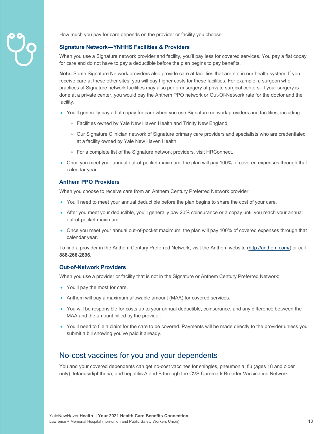

How much you pay for care depends on the provider or facility you choose:

#### **Signature Network—YNHHS Facilities & Providers**

When you use a Signature network provider and facility, you'll pay less for covered services. You pay a flat copay for care and do not have to pay a deductible before the plan begins to pay benefits.

**Note:** Some Signature Network providers also provide care at facilities that are not in our health system. If you receive care at these other sites, you will pay higher costs for these facilities. For example, a surgeon who practices at Signature network facilities may also perform surgery at private surgical centers. If your surgery is done at a private center, you would pay the Anthem PPO network or Out-Of-Network rate for the doctor and the facility.

- You'll generally pay a flat copay for care when you use Signature network providers and facilities, including:
	- Facilities owned by Yale New Haven Health and Trinity New England
	- Our Signature Clinician network of Signature primary care providers and specialists who are credentialed at a facility owned by Yale New Haven Health
	- For a complete list of the Signature network providers, visit HRConnect.
- Once you meet your annual out-of-pocket maximum, the plan will pay 100% of covered expenses through that calendar year.

#### **Anthem PPO Providers**

When you choose to receive care from an Anthem Century Preferred Network provider:

- You'll need to meet your annual deductible before the plan begins to share the cost of your care.
- After you meet your deductible, you'll generally pay 20% coinsurance or a copay until you reach your annual out-of-pocket maximum.
- Once you meet your annual out-of-pocket maximum, the plan will pay 100% of covered expenses through that calendar year.

To find a provider in the Anthem Century Preferred Network, visit the Anthem website (http://anthem.com/) or call **888-266-2896**.

#### **Out-of-Network Providers**

When you use a provider or facility that is not in the Signature or Anthem Century Preferred Network:

- You'll pay the most for care.
- Anthem will pay a maximum allowable amount (MAA) for covered services.
- You will be responsible for costs up to your annual deductible, coinsurance, and any difference between the MAA and the amount billed by the provider.
- You'll need to file a claim for the care to be covered. Payments will be made directly to the provider unless you submit a bill showing you've paid it already.

### No-cost vaccines for you and your dependents

You and your covered dependents can get no-cost vaccines for shingles, pneumonia, flu (ages 18 and older only), tetanus/diphtheria, and hepatitis A and B through the CVS Caremark Broader Vaccination Network.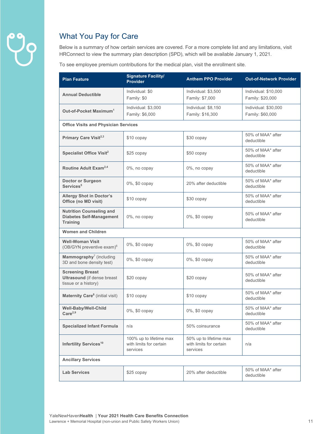

## What You Pay for Care

Below is a summary of how certain services are covered. For a more complete list and any limitations, visit HRConnect to view the summary plan description (SPD), which will be available January 1, 2021.

To see employee premium contributions for the medical plan, visit the enrollment site.

| <b>Plan Feature</b>                                                                   | <b>Signature Facility/</b><br><b>Provider</b>                  | <b>Anthem PPO Provider</b>                                    | <b>Out-of-Network Provider</b>           |  |
|---------------------------------------------------------------------------------------|----------------------------------------------------------------|---------------------------------------------------------------|------------------------------------------|--|
| <b>Annual Deductible</b>                                                              | Individual: \$0<br>Family: \$0                                 | Individual: \$3,500<br>Family: \$7,000                        | Individual: \$10,000<br>Family: \$20,000 |  |
| Out-of-Pocket Maximum <sup>1</sup>                                                    | Individual: \$3,000<br>Family: \$6,000                         | Individual: \$8,150<br>Family: \$16,300                       | Individual: \$30,000<br>Family: \$60,000 |  |
| <b>Office Visits and Physician Services</b>                                           |                                                                |                                                               |                                          |  |
| Primary Care Visit <sup>2,3</sup>                                                     | \$10 copay                                                     | \$30 copay                                                    | 50% of MAA* after<br>deductible          |  |
| Specialist Office Visit <sup>2</sup>                                                  | \$25 copay                                                     | \$50 copay                                                    | 50% of MAA* after<br>deductible          |  |
| Routine Adult Exam <sup>2,4</sup>                                                     | 0%, no copay                                                   | 0%, no copay                                                  | 50% of MAA* after<br>deductible          |  |
| <b>Doctor or Surgeon</b><br>Services <sup>5</sup>                                     | 0%, \$0 copay                                                  | 20% after deductible                                          | 50% of MAA* after<br>deductible          |  |
| <b>Allergy Shot in Doctor's</b><br>Office (no MD visit)                               | \$10 copay                                                     | \$30 copay                                                    | 50% of MAA* after<br>deductible          |  |
| <b>Nutrition Counseling and</b><br><b>Diabetes Self-Management</b><br><b>Training</b> | 0%, no copay                                                   | 0%, \$0 copay                                                 | 50% of MAA* after<br>deductible          |  |
| <b>Women and Children</b>                                                             |                                                                |                                                               |                                          |  |
| <b>Well-Woman Visit</b><br>(OB/GYN preventive exam) <sup>6</sup>                      | 0%, \$0 copay                                                  | 0%, \$0 copay                                                 | 50% of MAA* after<br>deductible          |  |
| <b>Mammography</b> <sup><math>7</math></sup> (including<br>3D and bone density test)  | 0%, \$0 copay                                                  | 0%, \$0 copay                                                 | 50% of MAA* after<br>deductible          |  |
| <b>Screening Breast</b><br><b>Ultrasound</b> (if dense breast<br>tissue or a history) | \$20 copay                                                     | \$20 copay                                                    | 50% of MAA* after<br>deductible          |  |
| Maternity Care <sup>8</sup> (initial visit)                                           | \$10 copay                                                     | \$10 copay                                                    | 50% of MAA* after<br>deductible          |  |
| Well-Baby/Well-Child<br>Care <sup>2,9</sup>                                           | 0%, \$0 copay                                                  | 0%, \$0 copay                                                 | 50% of MAA* after<br>deductible          |  |
| <b>Specialized Infant Formula</b>                                                     | n/a                                                            | 50% coinsurance                                               | 50% of MAA* after<br>deductible          |  |
| Infertility Services <sup>10</sup>                                                    | 100% up to lifetime max<br>with limits for certain<br>services | 50% up to lifetime max<br>with limits for certain<br>services | n/a                                      |  |
| <b>Ancillary Services</b>                                                             |                                                                |                                                               |                                          |  |
| <b>Lab Services</b>                                                                   | \$25 copay                                                     | 20% after deductible                                          | 50% of MAA* after<br>deductible          |  |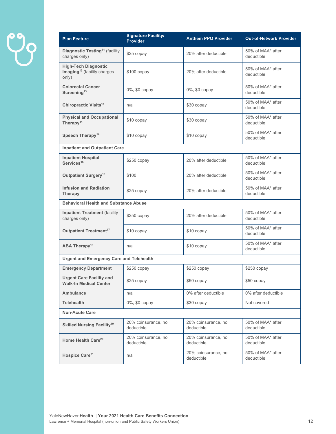| <b>Plan Feature</b>                                                             | <b>Signature Facility/</b><br><b>Provider</b> | <b>Anthem PPO Provider</b>        | <b>Out-of-Network Provider</b>  |  |
|---------------------------------------------------------------------------------|-----------------------------------------------|-----------------------------------|---------------------------------|--|
| Diagnostic Testing <sup>11</sup> (facility<br>charges only)                     | \$25 copay                                    | 20% after deductible              | 50% of MAA* after<br>deductible |  |
| <b>High-Tech Diagnostic</b><br>Imaging <sup>12</sup> (facility charges<br>only) | $$100$ copay                                  | 20% after deductible              | 50% of MAA* after<br>deductible |  |
| <b>Colorectal Cancer</b><br>Screening <sup>13</sup>                             | 0%, \$0 copay                                 | 0%, \$0 copay                     | 50% of MAA* after<br>deductible |  |
| Chiropractic Visits <sup>14</sup>                                               | n/a                                           | \$30 copay                        | 50% of MAA* after<br>deductible |  |
| <b>Physical and Occupational</b><br>Therapy <sup>14</sup>                       | \$10 copay                                    | \$30 copay                        | 50% of MAA* after<br>deductible |  |
| Speech Therapy <sup>14</sup>                                                    | \$10 copay                                    | \$10 copay                        | 50% of MAA* after<br>deductible |  |
| <b>Inpatient and Outpatient Care</b>                                            |                                               |                                   |                                 |  |
| <b>Inpatient Hospital</b><br>Services <sup>15</sup>                             | $$250$ copay                                  | 20% after deductible              | 50% of MAA* after<br>deductible |  |
| Outpatient Surgery <sup>16</sup>                                                | \$100                                         | 20% after deductible              | 50% of MAA* after<br>deductible |  |
| <b>Infusion and Radiation</b><br><b>Therapy</b>                                 | \$25 copay                                    | 20% after deductible              | 50% of MAA* after<br>deductible |  |
| <b>Behavioral Health and Substance Abuse</b>                                    |                                               |                                   |                                 |  |
| <b>Inpatient Treatment (facility</b><br>charges only)                           | $$250$ copay                                  | 20% after deductible              | 50% of MAA* after<br>deductible |  |
| <b>Outpatient Treatment<sup>17</sup></b>                                        | \$10 copay                                    | \$10 copay                        | 50% of MAA* after<br>deductible |  |
| ABA Therapy <sup>18</sup>                                                       | n/a                                           | \$10 copay                        | 50% of MAA* after<br>deductible |  |
| <b>Urgent and Emergency Care and Telehealth</b>                                 |                                               |                                   |                                 |  |
| <b>Emergency Department</b>                                                     | \$250 copay                                   | \$250 copay                       | \$250 copay                     |  |
| <b>Urgent Care Facility and</b><br><b>Walk-In Medical Center</b>                | \$25 copay                                    | \$50 copay                        | \$50 copay                      |  |
| <b>Ambulance</b>                                                                | n/a                                           | 0% after deductible               | 0% after deductible             |  |
| <b>Telehealth</b>                                                               | 0%, \$0 copay                                 | \$30 copay                        | Not covered                     |  |
| <b>Non-Acute Care</b>                                                           |                                               |                                   |                                 |  |
| <b>Skilled Nursing Facility<sup>19</sup></b>                                    | 20% coinsurance, no<br>deductible             | 20% coinsurance, no<br>deductible | 50% of MAA* after<br>deductible |  |
| Home Health Care <sup>20</sup>                                                  | 20% coinsurance, no<br>deductible             | 20% coinsurance, no<br>deductible | 50% of MAA* after<br>deductible |  |
| Hospice Care <sup>21</sup>                                                      | n/a                                           | 20% coinsurance, no<br>deductible | 50% of MAA* after<br>deductible |  |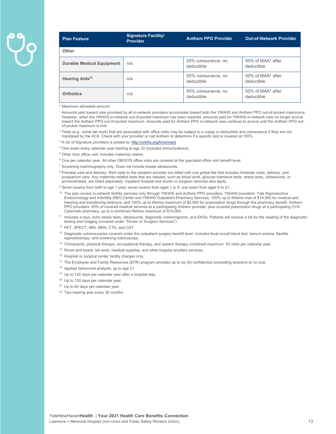| <b>Plan Feature</b>              | <b>Signature Facility/</b><br><b>Provider</b> | <b>Anthem PPO Provider</b>        | <b>Out-of-Network Provider</b>  |
|----------------------------------|-----------------------------------------------|-----------------------------------|---------------------------------|
| <b>Other</b>                     |                                               |                                   |                                 |
| <b>Durable Medical Equipment</b> | n/a                                           | 20% coinsurance, no<br>deductible | 50% of MAA* after<br>deductible |
| Hearing Aids <sup>22</sup>       | n/a                                           | 50% coinsurance, no<br>deductible | 50% of MAA* after<br>deductible |
| <b>Orthotics</b>                 | n/a                                           | 50% coinsurance, no<br>deductible | 50% of MAA* after<br>deductible |

\* Maximum allowable amount.

<sup>1</sup> Amounts paid toward care provided by all in-network providers accumulate toward both the YNHHS and Anthem PPO out-of-pocket maximums. However, when the YNHHS in-network out-of-pocket maximum has been reached, amounts paid for YNHHS in-network care no longer accrue toward the Anthem PPO out-of-pocket maximum. Amounts paid for Anthem PPO in-network care continue to accrue until the Anthem PPO outof-pocket maximum is met.

 $2$  Tests (e.g., some lab work) that are associated with office visits may be subject to a copay or deductible and coinsurance if they are not mandated by the ACA. Check with your provider or call Anthem to determine if a specific test is covered at 100%.

<sup>3</sup> A list of Signature providers is posted to: http://ynhhs.org/hrconnect

- 4 One exam every calendar year starting at age 22 (includes immunizations).
- 5 Other than office visit; includes maternity claims.
- 6 One per calendar year. All other OB/GYN office visits are covered at the specialist office visit benefit level.
- <sup>7</sup> Screening mammography only. Does not include breast ultrasounds.
- <sup>8</sup> Prenatal care and delivery. Well visits to the obstetric provider are billed with one global fee that includes trimester visits, delivery, and postpartum care. Any maternity-related tests that are needed, such as blood work, glucose tolerance tests, stress tests, ultrasounds, or amniocentesis, are billed separately. Inpatient hospital and doctor or surgeon services also apply.
- <sup>9</sup> Seven exams from birth to age 1 year; seven exams from ages 1 to 5; one exam from ages 6 to 21.
- <sup>10</sup> The plan covers in-network fertility services only through YNHHS and Anthem PPO providers. YNHHS providers: Yale Reproductive Endocrinology and Infertility (REI) Center and YNHHS Outpatient Pharmacy Services. 100% up to lifetime max of \$14,000 for medical and freezing and transferring embryos, and 100% up to lifetime maximum of \$2,000 for prescription drugs through the pharmacy benefit. Anthem PPO providers: 50% of covered medical services at a participating Anthem provider, plus covered prescription drugs at a participating CVS Caremark pharmacy, up to a combined lifetime maximum of \$10,000.
- <sup>11</sup> Includes x-rays, echo stress tests, ultrasounds, diagnostic mammograms, and EKGs. Patients will receive a bill for the reading of the diagnostic testing and imaging (covered under "Doctor or Surgeon Services").
- 12 PET, SPECT, MRI, MRA, CTA, and CAT.
- <sup>13</sup> Diagnostic colonoscopies covered under the outpatient surgery benefit level. Includes fecal occult blood test, barium enema, flexible sigmoidoscopy, and screening colonoscopy.
- 14 Chiropractic, physical therapy, occupational therapy, and speech therapy combined maximum: 50 visits per calendar year.
- <sup>15</sup> Room and board, lab work, medical supplies, and other hospital ancillary services.
- 16 Hospital or surgical center facility charges only.
- 17 The Employee and Family Resources (EFR) program provides up to six (6) confidential counseling sessions at no cost.
- 18 Applied behavioral analysis, up to age 21.
- 19 Up to 120 days per calendar year after a hospital stay.
- <sup>20</sup> Up to 120 days per calendar year.
- <sup>21</sup> Up to 60 days per calendar year.
- <sup>22</sup> Two hearing aids every 36 months.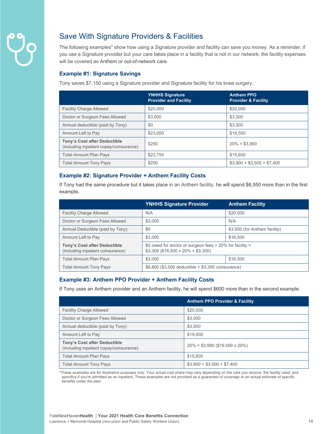

## Save With Signature Providers & Facilities

The following examples\* show how using a Signature provider and facility can save you money. As a reminder, if you use a Signature provider but your care takes place in a facility that is not in our network, the facility expenses will be covered as Anthem or out-of-network care.

#### **Example #1: Signature Savings**

Tony saves \$7,150 using a Signature provider and Signature facility for his knee surgery.

|                                                                                | <b>YNHHS Signature</b><br><b>Provider and Facility</b> | <b>Anthem PPO</b><br><b>Provider &amp; Facility</b> |
|--------------------------------------------------------------------------------|--------------------------------------------------------|-----------------------------------------------------|
| <b>Facility Charge Allowed</b>                                                 | \$20,000                                               | \$20,000                                            |
| Doctor or Surgeon Fees Allowed                                                 | \$3,000                                                | \$3,000                                             |
| Annual deductible (paid by Tony)                                               | \$0                                                    | \$3.500                                             |
| Amount Left to Pay                                                             | \$23,000                                               | \$19,500                                            |
| <b>Tony's Cost after Deductible</b><br>(including inpatient copay/coinsurance) | \$250                                                  | $20\% = $3,900$                                     |
| Total Amount Plan Pays                                                         | \$22,750                                               | \$15,600                                            |
| <b>Total Amount Tony Pays</b>                                                  | \$250                                                  | $$3,900 + $3,500 = $7,400$                          |

#### **Example #2: Signature Provider + Anthem Facility Costs**

If Tony had the same procedure but it takes place in an Anthem facility, he will spend \$6,550 more than in the first example**.**

|                                                                          | <b>YNHHS Signature Provider</b>                                                                 | <b>Anthem Facility</b>        |
|--------------------------------------------------------------------------|-------------------------------------------------------------------------------------------------|-------------------------------|
| <b>Facility Charge Allowed</b>                                           | N/A                                                                                             | \$20,000                      |
| Doctor or Surgeon Fees Allowed                                           | \$3,000                                                                                         | N/A                           |
| Annual Deductible (paid by Tony)                                         | \$0                                                                                             | \$3,500 (for Anthem facility) |
| Amount Left to Pay                                                       | \$3,000                                                                                         | \$16,500                      |
| <b>Tony's Cost after Deductible</b><br>(including inpatient coinsurance) | \$0 owed for doctor or surgeon fees + 20% for facility =<br>$$3,300$ (\$16,500 x 20% = \$3,300) |                               |
| <b>Total Amount Plan Pays</b>                                            | \$3,000                                                                                         | \$16,500                      |
| <b>Total Amount Tony Pays</b>                                            | $$6,800$ (\$3,500 deductible $+ $3,300$ coinsurance)                                            |                               |

#### **Example #3: Anthem PPO Provider + Anthem Facility Costs**

If Tony uses an Anthem provider and an Anthem facility, he will spend \$600 more than in the second example.

|                                                                                | <b>Anthem PPO Provider &amp; Facility</b> |
|--------------------------------------------------------------------------------|-------------------------------------------|
| <b>Facility Charge Allowed</b>                                                 | \$20,000                                  |
| Doctor or Surgeon Fees Allowed                                                 | \$3,000                                   |
| Annual deductible (paid by Tony)                                               | \$3.500                                   |
| Amount Left to Pay                                                             | \$19,500                                  |
| <b>Tony's Cost after Deductible</b><br>(including inpatient copay/coinsurance) | $20\% = $3,900$ (\$19,500 x 20%)          |
| <b>Total Amount Plan Pays</b>                                                  | \$15,600                                  |
| <b>Total Amount Tony Pays</b>                                                  | $$3,900 + $3,500 = $7,400$                |

\*These examples are for illustrative purposes only. Your actual cost share may vary depending on the care you receive, the facility used, and specifics if you're admitted as an inpatient. These examples are not provided as a guarantee of coverage or an actual estimate of specific benefits under the plan.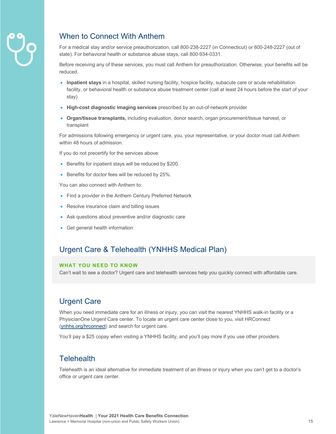

## When to Connect With Anthem

For a medical stay and/or service preauthorization, call 800-238-2227 (in Connecticut) or 800-248-2227 (out of state). For behavioral health or substance abuse stays, call 800-934-0331.

Before receiving any of these services, you must call Anthem for preauthorization. Otherwise, your benefits will be reduced.

- **Inpatient stays** in a hospital, skilled nursing facility, hospice facility, subacute care or acute rehabilitation facility, or behavioral health or substance abuse treatment center (call at least 24 hours before the start of your stay)
- **High-cost diagnostic imaging services** prescribed by an out-of-network provider
- **Organ/tissue transplants,** including evaluation, donor search, organ procurement/tissue harvest, or transplant

For admissions following emergency or urgent care, you, your representative, or your doctor must call Anthem within 48 hours of admission.

If you do not precertify for the services above:

- Benefits for inpatient stays will be reduced by \$200.
- Benefits for doctor fees will be reduced by 25%.

You can also connect with Anthem to:

- Find a provider in the Anthem Century Preferred Network
- Resolve insurance claim and billing issues
- Ask questions about preventive and/or diagnostic care
- Get general health information

### Urgent Care & Telehealth (YNHHS Medical Plan)

#### **WHAT YOU NEED TO KNOW**

Can't wait to see a doctor? Urgent care and telehealth services help you quickly connect with affordable care.

## Urgent Care

When you need immediate care for an illness or injury, you can visit the nearest YNHHS walk-in facility or a PhysicianOne Urgent Care center. To locate an urgent care center close to you, visit HRConnect (ynhhs.org/hrconnect) and search for urgent care.

You'll pay a \$25 copay when visiting a YNHHS facility, and you'll pay more if you use other providers.

### **Telehealth**

Telehealth is an ideal alternative for immediate treatment of an illness or injury when you can't get to a doctor's office or urgent care center.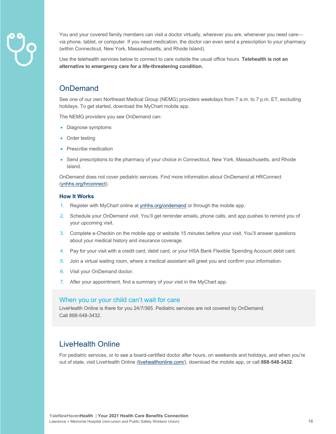

You and your covered family members can visit a doctor virtually, wherever you are, whenever you need care via phone, tablet, or computer. If you need medication, the doctor can even send a prescription to your pharmacy (within Connecticut, New York, Massachusetts, and Rhode Island).

Use the telehealth services below to connect to care outside the usual office hours. **Telehealth is not an alternative to emergency care for a life-threatening condition.** 

## **OnDemand**

See one of our own Northeast Medical Group (NEMG) providers weekdays from 7 a.m. to 7 p.m. ET, excluding holidays. To get started, download the MyChart mobile app.

The NEMG providers you see OnDemand can:

- Diagnose symptoms
- Order testing
- Prescribe medication
- Send prescriptions to the pharmacy of your choice in Connecticut, New York, Massachusetts, and Rhode Island.

OnDemand does not cover pediatric services. Find more information about OnDemand at HRConnect (ynhhs.org/hrconnect).

#### **How It Works**

- 1. Register with MyChart online at ynhhs.org/ondemand or through the mobile app.
- 2. Schedule your OnDemand visit. You'll get reminder emails, phone calls, and app pushes to remind you of your upcoming visit.
- 3. Complete e-Checkin on the mobile app or website 15 minutes before your visit. You'll answer questions about your medical history and insurance coverage.
- 4. Pay for your visit with a credit card, debit card, or your HSA Bank Flexible Spending Account debit card.
- 5. Join a virtual waiting room, where a medical assistant will greet you and confirm your information.
- 6. Visit your OnDemand doctor.
- 7. After your appointment, find a summary of your visit in the MyChart app.

#### When you or your child can't wait for care

LiveHealth Online is there for you 24/7/365. Pediatric services are not covered by OnDemand. Call 888-548-3432.

## LiveHealth Online

For pediatric services, or to see a board-certified doctor after hours, on weekends and holidays, and when you're out of state, visit LiveHealth Online (livehealthonline.com/), download the mobile app, or call **888-548-3432**.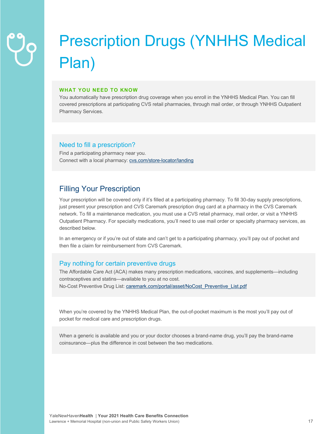## Prescription Drugs (YNHHS Medical Plan)

#### **WHAT YOU NEED TO KNOW**

You automatically have prescription drug coverage when you enroll in the YNHHS Medical Plan. You can fill covered prescriptions at participating CVS retail pharmacies, through mail order, or through YNHHS Outpatient Pharmacy Services.

#### Need to fill a prescription?

Find a participating pharmacy near you. Connect with a local pharmacy: cvs.com/store-locator/landing

## Filling Your Prescription

Your prescription will be covered only if it's filled at a participating pharmacy. To fill 30-day supply prescriptions, just present your prescription and CVS Caremark prescription drug card at a pharmacy in the CVS Caremark network. To fill a maintenance medication, you must use a CVS retail pharmacy, mail order, or visit a YNHHS Outpatient Pharmacy. For specialty medications, you'll need to use mail order or specialty pharmacy services, as described below.

In an emergency or if you're out of state and can't get to a participating pharmacy, you'll pay out of pocket and then file a claim for reimbursement from CVS Caremark.

#### Pay nothing for certain preventive drugs

The Affordable Care Act (ACA) makes many prescription medications, vaccines, and supplements—including contraceptives and statins—available to you at no cost. No-Cost Preventive Drug List: caremark.com/portal/asset/NoCost\_Preventive\_List.pdf

When you're covered by the YNHHS Medical Plan, the out-of-pocket maximum is the most you'll pay out of pocket for medical care and prescription drugs.

When a generic is available and you or your doctor chooses a brand-name drug, you'll pay the brand-name coinsurance—plus the difference in cost between the two medications.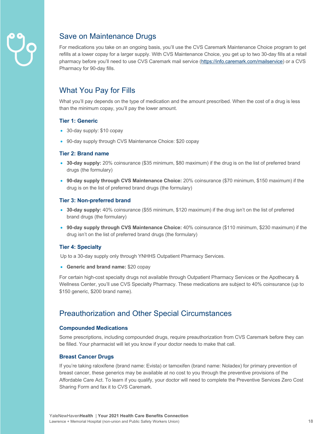

## Save on Maintenance Drugs

For medications you take on an ongoing basis, you'll use the CVS Caremark Maintenance Choice program to get refills at a lower copay for a larger supply. With CVS Maintenance Choice, you get up to two 30-day fills at a retail pharmacy before you'll need to use CVS Caremark mail service (https://info.caremark.com/mailservice) or a CVS Pharmacy for 90-day fills.

## What You Pay for Fills

What you'll pay depends on the type of medication and the amount prescribed. When the cost of a drug is less than the minimum copay, you'll pay the lower amount.

#### **Tier 1: Generic**

- 30-day supply: \$10 copay
- 90-day supply through CVS Maintenance Choice: \$20 copay

#### **Tier 2: Brand name**

- **30-day supply:** 20% coinsurance (\$35 minimum, \$80 maximum) if the drug is on the list of preferred brand drugs (the formulary)
- **90-day supply through CVS Maintenance Choice:** 20% coinsurance (\$70 minimum, \$150 maximum) if the drug is on the list of preferred brand drugs (the formulary)

#### **Tier 3: Non-preferred brand**

- **30-day supply:** 40% coinsurance (\$55 minimum, \$120 maximum) if the drug isn't on the list of preferred brand drugs (the formulary)
- **90-day supply through CVS Maintenance Choice:** 40% coinsurance (\$110 minimum, \$230 maximum) if the drug isn't on the list of preferred brand drugs (the formulary)

#### **Tier 4: Specialty**

Up to a 30-day supply only through YNHHS Outpatient Pharmacy Services.

• **Generic and brand name:** \$20 copay

For certain high-cost specialty drugs not available through Outpatient Pharmacy Services or the Apothecary & Wellness Center, you'll use CVS Specialty Pharmacy. These medications are subject to 40% coinsurance (up to \$150 generic, \$200 brand name).

## Preauthorization and Other Special Circumstances

#### **Compounded Medications**

Some prescriptions, including compounded drugs, require preauthorization from CVS Caremark before they can be filled. Your pharmacist will let you know if your doctor needs to make that call.

#### **Breast Cancer Drugs**

If you're taking raloxifene (brand name: Evista) or tamoxifen (brand name: Noladex) for primary prevention of breast cancer, these generics may be available at no cost to you through the preventive provisions of the Affordable Care Act. To learn if you qualify, your doctor will need to complete the Preventive Services Zero Cost Sharing Form and fax it to CVS Caremark.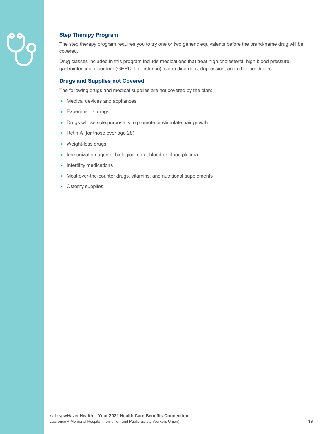

#### **Step Therapy Program**

The step therapy program requires you to try one or two generic equivalents before the brand-name drug will be covered.

Drug classes included in this program include medications that treat high cholesterol, high blood pressure, gastrointestinal disorders (GERD, for instance), sleep disorders, depression, and other conditions.

#### **Drugs and Supplies not Covered**

The following drugs and medical supplies are not covered by the plan:

- Medical devices and appliances
- Experimental drugs
- Drugs whose sole purpose is to promote or stimulate hair growth
- Retin A (for those over age 28)
- Weight-loss drugs
- Immunization agents, biological sera, blood or blood plasma
- Infertility medications
- Most over-the-counter drugs, vitamins, and nutritional supplements
- Ostomy supplies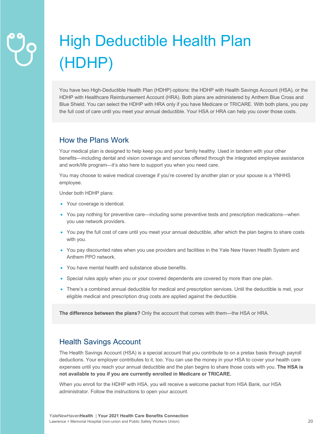## High Deductible Health Plan (HDHP)

You have two High-Deductible Health Plan (HDHP) options: the HDHP with Health Savings Account (HSA), or the HDHP with Healthcare Reimbursement Account (HRA). Both plans are administered by Anthem Blue Cross and Blue Shield. You can select the HDHP with HRA only if you have Medicare or TRICARE. With both plans, you pay the full cost of care until you meet your annual deductible. Your HSA or HRA can help you cover those costs.

## How the Plans Work

Your medical plan is designed to help keep you and your family healthy. Used in tandem with your other benefits—including dental and vision coverage and services offered through the integrated employee assistance and work/life program—it's also here to support you when you need care.

You may choose to waive medical coverage if you're covered by another plan or your spouse is a YNHHS employee.

Under both HDHP plans:

- Your coverage is identical.
- You pay nothing for preventive care—including some preventive tests and prescription medications—when you use network providers.
- You pay the full cost of care until you meet your annual deductible, after which the plan begins to share costs with you.
- You pay discounted rates when you use providers and facilities in the Yale New Haven Health System and Anthem PPO network.
- You have mental health and substance abuse benefits.
- Special rules apply when you or your covered dependents are covered by more than one plan.
- There's a combined annual deductible for medical and prescription services. Until the deductible is met, your eligible medical and prescription drug costs are applied against the deductible.

**The difference between the plans?** Only the account that comes with them—the HSA or HRA.

## Health Savings Account

The Health Savings Account (HSA) is a special account that you contribute to on a pretax basis through payroll deductions. Your employer contributes to it, too. You can use the money in your HSA to cover your health care expenses until you reach your annual deductible and the plan begins to share those costs with you. **The HSA is not available to you if you are currently enrolled in Medicare or TRICARE.**

When you enroll for the HDHP with HSA, you will receive a welcome packet from HSA Bank, our HSA administrator. Follow the instructions to open your account.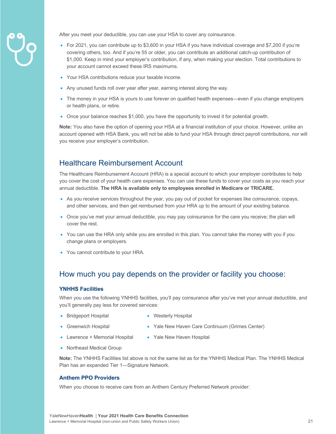

After you meet your deductible, you can use your HSA to cover any coinsurance.

- For 2021, you can contribute up to \$3,600 in your HSA if you have individual coverage and \$7,200 if you're covering others, too. And if you're 55 or older, you can contribute an additional catch-up contribution of \$1,000. Keep in mind your employer's contribution, if any, when making your election. Total contributions to your account cannot exceed these IRS maximums.
- Your HSA contributions reduce your taxable income.
- Any unused funds roll over year after year, earning interest along the way.
- The money in your HSA is yours to use forever on qualified health expenses—even if you change employers or health plans, or retire.
- Once your balance reaches \$1,000, you have the opportunity to invest it for potential growth.

**Note:** You also have the option of opening your HSA at a financial institution of your choice. However, unlike an account opened with HSA Bank, you will not be able to fund your HSA through direct payroll contributions, nor will you receive your employer's contribution.

## Healthcare Reimbursement Account

The Healthcare Reimbursement Account (HRA) is a special account to which your employer contributes to help you cover the cost of your health care expenses. You can use these funds to cover your costs as you reach your annual deductible. **The HRA is available only to employees enrolled in Medicare or TRICARE.**

- As you receive services throughout the year, you pay out of pocket for expenses like coinsurance, copays, and other services, and then get reimbursed from your HRA up to the amount of your existing balance.
- Once you've met your annual deductible, you may pay coinsurance for the care you receive; the plan will cover the rest.
- You can use the HRA only while you are enrolled in this plan. You cannot take the money with you if you change plans or employers.
- You cannot contribute to your HRA.

## How much you pay depends on the provider or facility you choose:

#### **YNHHS Facilities**

When you use the following YNHHS facilities, you'll pay coinsurance after you've met your annual deductible, and you'll generally pay less for covered services:

- Bridgeport Hospital
- Westerly Hospital
- Greenwich Hospital
- Yale New Haven Care Continuum (Grimes Center)
- Lawrence + Memorial Hospital
- Yale New Haven Hospital
- Northeast Medical Group

**Note:** The YNHHS Facilities list above is not the same list as for the YNHHS Medical Plan. The YNHHS Medical Plan has an expanded Tier 1—Signature Network.

#### **Anthem PPO Providers**

When you choose to receive care from an Anthem Century Preferred Network provider: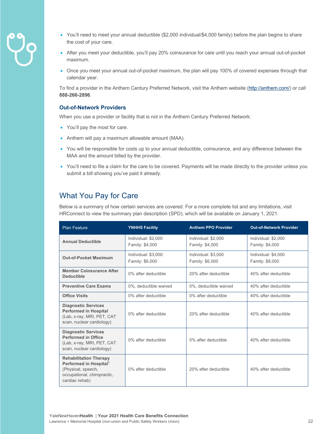- 
- You'll need to meet your annual deductible (\$2,000 individual/\$4,000 family) before the plan begins to share the cost of your care.
- After you meet your deductible, you'll pay 20% coinsurance for care until you reach your annual out-of-pocket maximum.
- Once you meet your annual out-of-pocket maximum, the plan will pay 100% of covered expenses through that calendar year.

To find a provider in the Anthem Century Preferred Network, visit the Anthem website (http://anthem.com/) or call **888-266-2896**.

#### **Out-of-Network Providers**

When you use a provider or facility that is not in the Anthem Century Preferred Network:

- You'll pay the most for care.
- Anthem will pay a maximum allowable amount (MAA).
- You will be responsible for costs up to your annual deductible, coinsurance, and any difference between the MAA and the amount billed by the provider.
- You'll need to file a claim for the care to be covered. Payments will be made directly to the provider unless you submit a bill showing you've paid it already.

## What You Pay for Care

Below is a summary of how certain services are covered. For a more complete list and any limitations, visit HRConnect to view the summary plan description (SPD), which will be available on January 1, 2021.

| <b>Plan Feature</b>                                                                                                                        | <b>YNHHS Facility</b>                  | <b>Anthem PPO Provider</b>             | <b>Out-of-Network Provider</b>         |
|--------------------------------------------------------------------------------------------------------------------------------------------|----------------------------------------|----------------------------------------|----------------------------------------|
| <b>Annual Deductible</b>                                                                                                                   | Individual: \$2,000<br>Family: \$4,000 | Individual: \$2,000<br>Family: \$4,000 | Individual: \$2,000<br>Family: \$4,000 |
| <b>Out-of-Pocket Maximum</b>                                                                                                               | Individual: \$3,000<br>Family: \$6,000 | Individual: \$3,000<br>Family: \$6,000 | Individual: \$4,000<br>Family: \$8,000 |
| <b>Member Coinsurance After</b><br><b>Deductible</b>                                                                                       | 0% after deductible                    | 20% after deductible                   | 40% after deductible                   |
| <b>Preventive Care Exams</b>                                                                                                               | 0%, deductible waived                  | 0%, deductible waived                  | 40% after deductible                   |
| <b>Office Visits</b>                                                                                                                       | 0% after deductible                    | 0% after deductible                    | 40% after deductible                   |
| <b>Diagnostic Services</b><br><b>Performed in Hospital</b><br>(Lab, x-ray, MRI, PET, CAT<br>scan, nuclear cardiology)                      | 0% after deductible                    | 20% after deductible                   | 40% after deductible                   |
| <b>Diagnostic Services</b><br><b>Performed in Office</b><br>(Lab, x-ray, MRI, PET, CAT<br>scan, nuclear cardiology)                        | 0% after deductible                    | 0% after deductible                    | 40% after deductible                   |
| <b>Rehabilitation Therapy</b><br>Performed in Hospital <sup>1</sup><br>(Physical, speech,<br>occupational, chiropractic,<br>cardiac rehab) | 0% after deductible                    | 20% after deductible                   | 40% after deductible                   |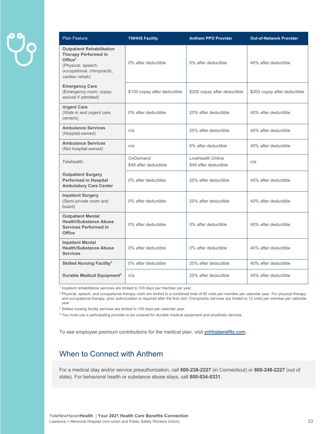| <b>Plan Feature</b>                                                                                                                                  | <b>YNHHS Facility</b>             | <b>Anthem PPO Provider</b>                 | <b>Out-of-Network Provider</b> |
|------------------------------------------------------------------------------------------------------------------------------------------------------|-----------------------------------|--------------------------------------------|--------------------------------|
| <b>Outpatient Rehabilitation</b><br><b>Therapy Performed in</b><br>Office $2$<br>(Physical, speech,<br>occupational, chiropractic,<br>cardiac rehab) | 0% after deductible               | 0% after deductible                        | 40% after deductible           |
| <b>Emergency Care</b><br>(Emergency room; copay<br>waived if admitted)                                                                               | \$100 copay after deductible      | \$200 copay after deductible               | \$200 copay after deductible   |
| <b>Urgent Care</b><br>(Walk-in and urgent care<br>centers)                                                                                           | 0% after deductible               | 20% after deductible                       | 40% after deductible           |
| <b>Ambulance Services</b><br>(Hospital-owned)                                                                                                        | n/a                               | 20% after deductible                       | 40% after deductible           |
| <b>Ambulance Services</b><br>(Not hospital-owned)                                                                                                    | n/a                               | 0% after deductible                        | 40% after deductible           |
| <b>Telehealth</b>                                                                                                                                    | OnDemand<br>\$49 after deductible | LiveHealth Online<br>\$49 after deductible | n/a                            |
| <b>Outpatient Surgery</b><br><b>Performed in Hospital</b><br><b>Ambulatory Care Center</b>                                                           | 0% after deductible               | 20% after deductible                       | 40% after deductible           |
| <b>Inpatient Surgery</b><br>(Semi-private room and<br>board)                                                                                         | 0% after deductible               | 20% after deductible                       | 40% after deductible           |
| <b>Outpatient Mental</b><br><b>Health/Substance Abuse</b><br><b>Services Performed in</b><br><b>Office</b>                                           | 0% after deductible               | 0% after deductible                        | 40% after deductible           |
| <b>Inpatient Mental</b><br><b>Health/Substance Abuse</b><br><b>Services</b>                                                                          | 0% after deductible               | 0% after deductible                        | 40% after deductible           |
| <b>Skilled Nursing Facility<sup>3</sup></b>                                                                                                          | 0% after deductible               | 20% after deductible                       | 40% after deductible           |
| Durable Medical Equipment <sup>4</sup>                                                                                                               | n/a                               | 20% after deductible                       | 40% after deductible           |

<sup>1</sup> Inpatient rehabilitative services are limited to 100 days per member per year.

<sup>2</sup> Physical, speech, and occupational therapy visits are limited to a combined total of 60 visits per member per calendar year. For physical therapy and occupational therapy, prior authorization is required after the first visit. Chiropractic services are limited to 12 visits per member per calendar year.

<sup>3</sup> Skilled nursing facility services are limited to 100 days per calendar year.

<sup>4</sup> You must use a participating provider to be covered for durable medical equipment and prosthetic devices.

To see employee premium contributions for the medical plan, visit ynhhsbenefits.com.

## When to Connect with Anthem

For a medical stay and/or service preauthorization, call **800-238-2227** (in Connecticut) or **800-248-2227** (out of state). For behavioral health or substance abuse stays, call **800-934-0331**.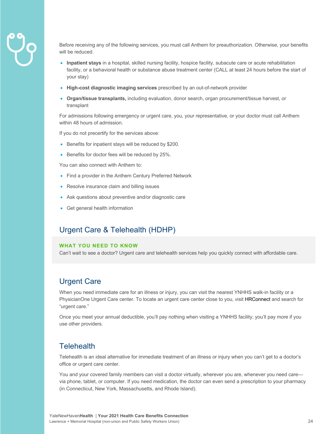

Before receiving any of the following services, you must call Anthem for preauthorization. Otherwise, your benefits will be reduced.

- **Inpatient stays** in a hospital, skilled nursing facility, hospice facility, subacute care or acute rehabilitation facility, or a behavioral health or substance abuse treatment center (CALL at least 24 hours before the start of your stay)
- **High-cost diagnostic imaging services** prescribed by an out-of-network provider
- **Organ/tissue transplants,** including evaluation, donor search, organ procurement/tissue harvest, or transplant

For admissions following emergency or urgent care, you, your representative, or your doctor must call Anthem within 48 hours of admission.

If you do not precertify for the services above:

- Benefits for inpatient stays will be reduced by \$200.
- Benefits for doctor fees will be reduced by 25%.

You can also connect with Anthem to:

- Find a provider in the Anthem Century Preferred Network
- Resolve insurance claim and billing issues
- Ask questions about preventive and/or diagnostic care
- Get general health information

## Urgent Care & Telehealth (HDHP)

#### **WHAT YOU NEED TO KNOW**

Can't wait to see a doctor? Urgent care and telehealth services help you quickly connect with affordable care.

### Urgent Care

When you need immediate care for an illness or injury, you can visit the nearest YNHHS walk-in facility or a PhysicianOne Urgent Care center. To locate an urgent care center close to you, visit HRConnect and search for "urgent care."

Once you meet your annual deductible, you'll pay nothing when visiting a YNHHS facility; you'll pay more if you use other providers.

### **Telehealth**

Telehealth is an ideal alternative for immediate treatment of an illness or injury when you can't get to a doctor's office or urgent care center.

You and your covered family members can visit a doctor virtually, wherever you are, whenever you need care via phone, tablet, or computer. If you need medication, the doctor can even send a prescription to your pharmacy (in Connecticut, New York, Massachusetts, and Rhode Island).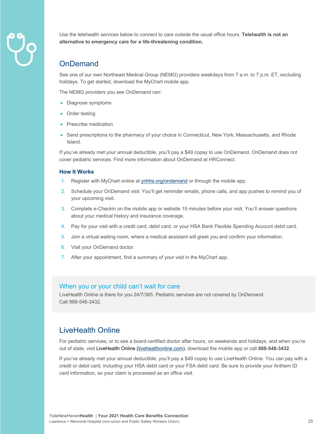

Use the telehealth services below to connect to care outside the usual office hours. **Telehealth is not an alternative to emergency care for a life-threatening condition.** 

## OnDemand

See one of our own Northeast Medical Group (NEMG) providers weekdays from 7 a.m. to 7 p.m. ET, excluding holidays. To get started, download the MyChart mobile app.

The NEMG providers you see OnDemand can:

- Diagnose symptoms
- Order testing
- Prescribe medication
- Send prescriptions to the pharmacy of your choice in Connecticut, New York, Massachusetts, and Rhode Island.

If you've already met your annual deductible, you'll pay a \$49 copay to use OnDemand. OnDemand does not cover pediatric services. Find more information about OnDemand at HRConnect.

#### **How It Works**

- 1. Register with MyChart online at **ynhhs.org/ondemand** or through the mobile app.
- 2. Schedule your OnDemand visit. You'll get reminder emails, phone calls, and app pushes to remind you of your upcoming visit.
- 3. Complete e-Checkin on the mobile app or website 15 minutes before your visit. You'll answer questions about your medical history and insurance coverage.
- 4. Pay for your visit with a credit card, debit card, or your HSA Bank Flexible Spending Account debit card.
- 5. Join a virtual waiting room, where a medical assistant will greet you and confirm your information.
- 6. Visit your OnDemand doctor.
- 7. After your appointment, find a summary of your visit in the MyChart app.

#### When you or your child can't wait for care

LiveHealth Online is there for you 24/7/365. Pediatric services are not covered by OnDemand. Call 888-548-3432.

## LiveHealth Online

For pediatric services, or to see a board-certified doctor after hours, on weekends and holidays, and when you're out of state, visit LiveHealth Online (livehealthonline.com), download the mobile app or call **888-548-3432**.

If you've already met your annual deductible, you'll pay a \$49 copay to use LiveHealth Online. You can pay with a credit or debit card, including your HSA debit card or your FSA debit card. Be sure to provide your Anthem ID card information, so your claim is processed as an office visit.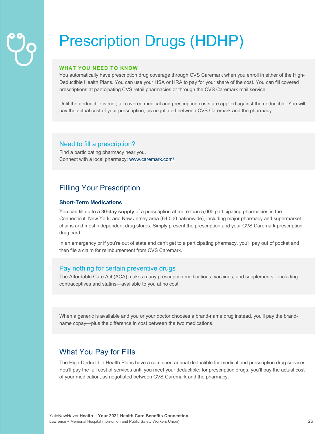## Prescription Drugs (HDHP)

#### **WHAT YOU NEED TO KNOW**

You automatically have prescription drug coverage through CVS Caremark when you enroll in either of the High-Deductible Health Plans. You can use your HSA or HRA to pay for your share of the cost. You can fill covered prescriptions at participating CVS retail pharmacies or through the CVS Caremark mail service.

Until the deductible is met, all covered medical and prescription costs are applied against the deductible. You will pay the actual cost of your prescription, as negotiated between CVS Caremark and the pharmacy.

#### Need to fill a prescription?

Find a participating pharmacy near you. Connect with a local pharmacy: www.caremark.com/

## Filling Your Prescription

#### **Short-Term Medications**

You can fill up to a **30-day supply** of a prescription at more than 5,000 participating pharmacies in the Connecticut, New York, and New Jersey area (64,000 nationwide), including major pharmacy and supermarket chains and most independent drug stores. Simply present the prescription and your CVS Caremark prescription drug card.

In an emergency or if you're out of state and can't get to a participating pharmacy, you'll pay out of pocket and then file a claim for reimbursement from CVS Caremark.

#### Pay nothing for certain preventive drugs

The Affordable Care Act (ACA) makes many prescription medications, vaccines, and supplements—including contraceptives and statins—available to you at no cost.

When a generic is available and you or your doctor chooses a brand-name drug instead, you'll pay the brandname copay—plus the difference in cost between the two medications.

### What You Pay for Fills

The High-Deductible Health Plans have a combined annual deductible for medical and prescription drug services. You'll pay the full cost of services until you meet your deductible; for prescription drugs, you'll pay the actual cost of your medication, as negotiated between CVS Caremark and the pharmacy.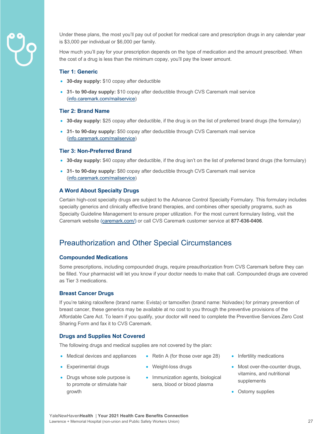

Under these plans, the most you'll pay out of pocket for medical care and prescription drugs in any calendar year is \$3,000 per individual or \$6,000 per family.

How much you'll pay for your prescription depends on the type of medication and the amount prescribed. When the cost of a drug is less than the minimum copay, you'll pay the lower amount.

#### **Tier 1: Generic**

- **30-day supply:** \$10 copay after deductible
- **31- to 90-day supply:** \$10 copay after deductible through CVS Caremark mail service (info.caremark.com/mailservice)

#### **Tier 2: Brand Name**

- **30-day supply:** \$25 copay after deductible, if the drug is on the list of preferred brand drugs (the formulary)
- **31- to 90-day supply:** \$50 copay after deductible through CVS Caremark mail service (info.caremark.com/mailservice)

#### **Tier 3: Non-Preferred Brand**

- **30-day supply:** \$40 copay after deductible, if the drug isn't on the list of preferred brand drugs (the formulary)
- **31- to 90-day supply:** \$80 copay after deductible through CVS Caremark mail service (info.caremark.com/mailservice)

#### **A Word About Specialty Drugs**

Certain high-cost specialty drugs are subject to the Advance Control Specialty Formulary. This formulary includes specialty generics and clinically effective brand therapies, and combines other specialty programs, such as Specialty Guideline Management to ensure proper utilization. For the most current formulary listing, visit the Caremark website (caremark.com/) or call CVS Caremark customer service at **877-636-0406**.

### Preauthorization and Other Special Circumstances

#### **Compounded Medications**

Some prescriptions, including compounded drugs, require preauthorization from CVS Caremark before they can be filled. Your pharmacist will let you know if your doctor needs to make that call. Compounded drugs are covered as Tier 3 medications.

#### **Breast Cancer Drugs**

If you're taking raloxifene (brand name: Evista) or tamoxifen (brand name: Nolvadex) for primary prevention of breast cancer, these generics may be available at no cost to you through the preventive provisions of the Affordable Care Act. To learn if you qualify, your doctor will need to complete the Preventive Services Zero Cost Sharing Form and fax it to CVS Caremark.

#### **Drugs and Supplies Not Covered**

The following drugs and medical supplies are not covered by the plan:

- Medical devices and appliances
- Weight-loss drugs
- Drugs whose sole purpose is to promote or stimulate hair growth

• Experimental drugs

• Immunization agents, biological sera, blood or blood plasma

• Retin A (for those over age 28)

- Infertility medications
- Most over-the-counter drugs, vitamins, and nutritional supplements
- Ostomy supplies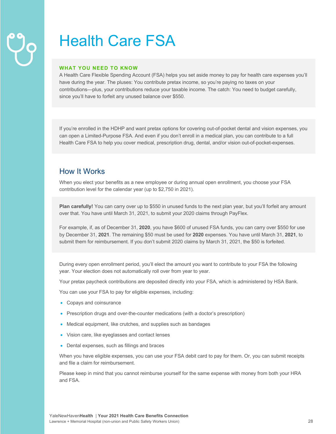## Health Care FSA

#### **WHAT YOU NEED TO KNOW**

A Health Care Flexible Spending Account (FSA) helps you set aside money to pay for health care expenses you'll have during the year. The pluses: You contribute pretax income, so you're paying no taxes on your contributions—plus, your contributions reduce your taxable income. The catch: You need to budget carefully, since you'll have to forfeit any unused balance over \$550.

If you're enrolled in the HDHP and want pretax options for covering out-of-pocket dental and vision expenses, you can open a Limited-Purpose FSA. And even if you don't enroll in a medical plan, you can contribute to a full Health Care FSA to help you cover medical, prescription drug, dental, and/or vision out-of-pocket-expenses.

## How It Works

When you elect your benefits as a new employee or during annual open enrollment, you choose your FSA contribution level for the calendar year (up to \$2,750 in 2021).

**Plan carefully!** You can carry over up to \$550 in unused funds to the next plan year, but you'll forfeit any amount over that. You have until March 31, 2021, to submit your 2020 claims through PayFlex.

For example, if, as of December 31, **2020**, you have \$600 of unused FSA funds, you can carry over \$550 for use by December 31, **2021**. The remaining \$50 must be used for **2020** expenses. You have until March 31, **2021**, to submit them for reimbursement. If you don't submit 2020 claims by March 31, 2021, the \$50 is forfeited.

During every open enrollment period, you'll elect the amount you want to contribute to your FSA the following year. Your election does not automatically roll over from year to year.

Your pretax paycheck contributions are deposited directly into your FSA, which is administered by HSA Bank.

You can use your FSA to pay for eligible expenses, including:

- Copays and coinsurance
- Prescription drugs and over-the-counter medications (with a doctor's prescription)
- Medical equipment, like crutches, and supplies such as bandages
- Vision care, like eyeglasses and contact lenses
- Dental expenses, such as fillings and braces

When you have eligible expenses, you can use your FSA debit card to pay for them. Or, you can submit receipts and file a claim for reimbursement.

Please keep in mind that you cannot reimburse yourself for the same expense with money from both your HRA and FSA.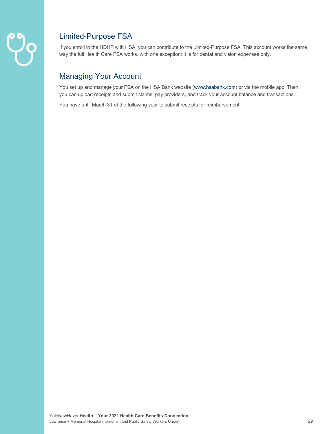

## Limited-Purpose FSA

If you enroll in the HDHP with HSA, you can contribute to the Limited-Purpose FSA. This account works the same way the full Health Care FSA works, with one exception: It is for dental and vision expenses only.

## Managing Your Account

You set up and manage your FSA on the HSA Bank website (www.hsabank.com) or via the mobile app. Then, you can upload receipts and submit claims, pay providers, and track your account balance and transactions.

You have until March 31 of the following year to submit receipts for reimbursement.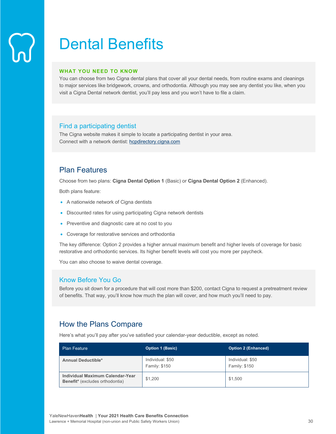## Dental Benefits

#### **WHAT YOU NEED TO KNOW**

You can choose from two Cigna dental plans that cover all your dental needs, from routine exams and cleanings to major services like bridgework, crowns, and orthodontia. Although you may see any dentist you like, when you visit a Cigna Dental network dentist, you'll pay less and you won't have to file a claim.

#### Find a participating dentist

The Cigna website makes it simple to locate a participating dentist in your area. Connect with a network dentist: hcpdirectory.cigna.com

## Plan Features

Choose from two plans: **Cigna Dental Option 1** (Basic) or **Cigna Dental Option 2** (Enhanced).

Both plans feature:

- A nationwide network of Cigna dentists
- Discounted rates for using participating Cigna network dentists
- Preventive and diagnostic care at no cost to you
- Coverage for restorative services and orthodontia

The key difference: Option 2 provides a higher annual maximum benefit and higher levels of coverage for basic restorative and orthodontic services. Its higher benefit levels will cost you more per paycheck.

You can also choose to waive dental coverage.

#### Know Before You Go

Before you sit down for a procedure that will cost more than \$200, contact Cigna to request a pretreatment review of benefits. That way, you'll know how much the plan will cover, and how much you'll need to pay.

### How the Plans Compare

Here's what you'll pay after you've satisfied your calendar-year deductible, except as noted.

| <b>Plan Feature</b>                                                 | <b>Option 1 (Basic)</b>           | <b>Option 2 (Enhanced)</b>        |
|---------------------------------------------------------------------|-----------------------------------|-----------------------------------|
| <b>Annual Deductible*</b>                                           | Individual: \$50<br>Family: \$150 | Individual: \$50<br>Family: \$150 |
| Individual Maximum Calendar-Year<br>Benefit* (excludes orthodontia) | \$1,200                           | \$1,500                           |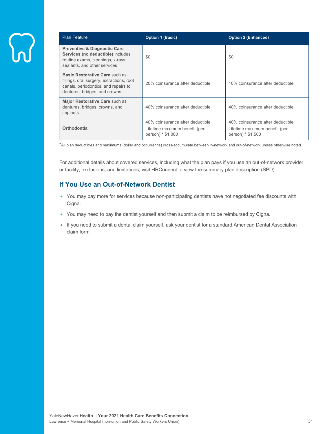| <b>Plan Feature</b>                                                                                                                                  | <b>Option 1 (Basic)</b>                                                                | <b>Option 2 (Enhanced)</b>                                                            |
|------------------------------------------------------------------------------------------------------------------------------------------------------|----------------------------------------------------------------------------------------|---------------------------------------------------------------------------------------|
| <b>Preventive &amp; Diagnostic Care</b><br>Services (no deductible) includes<br>routine exams, cleanings, x-rays,<br>sealants, and other services    | \$0                                                                                    | \$0                                                                                   |
| Basic Restorative Care such as<br>fillings, oral surgery, extractions, root<br>canals, periodontics, and repairs to<br>dentures, bridges, and crowns | 20% coinsurance after deductible                                                       | 10% coinsurance after deductible                                                      |
| Major Restorative Care such as<br>dentures, bridges, crowns, and<br>implants                                                                         | 40% coinsurance after deductible                                                       | 40% coinsurance after deductible                                                      |
| Orthodontia                                                                                                                                          | 40% coinsurance after deductible<br>Lifetime maximum benefit (per<br>person):* \$1,000 | 40% coinsurance after deductible<br>Lifetime maximum benefit (per<br>person): \$1,500 |

\*All plan deductibles and maximums (dollar and occurrence) cross-accumulate between in-network and out-of-network unless otherwise noted.

For additional details about covered services, including what the plan pays if you use an out-of-network provider or facility, exclusions, and limitations, visit HRConnect to view the summary plan description (SPD).

### **If You Use an Out-of-Network Dentist**

- You may pay more for services because non-participating dentists have not negotiated fee discounts with Cigna.
- You may need to pay the dentist yourself and then submit a claim to be reimbursed by Cigna.
- If you need to submit a dental claim yourself, ask your dentist for a standard American Dental Association claim form.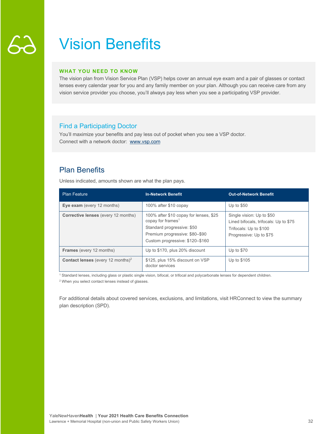## Vision Benefits

#### **WHAT YOU NEED TO KNOW**

The vision plan from Vision Service Plan (VSP) helps cover an annual eye exam and a pair of glasses or contact lenses every calendar year for you and any family member on your plan. Although you can receive care from any vision service provider you choose, you'll always pay less when you see a participating VSP provider.

### Find a Participating Doctor

You'll maximize your benefits and pay less out of pocket when you see a VSP doctor. Connect with a network doctor: www.vsp.com

## Plan Benefits

Unless indicated, amounts shown are what the plan pays.

| <b>Plan Feature</b>                                  | <b>In-Network Benefit</b>                                                                                                                                                  | <b>Out-of-Network Benefit</b>                                                                                           |
|------------------------------------------------------|----------------------------------------------------------------------------------------------------------------------------------------------------------------------------|-------------------------------------------------------------------------------------------------------------------------|
| Eye exam (every 12 months)                           | 100% after \$10 copay                                                                                                                                                      | Up to $$50$                                                                                                             |
| <b>Corrective lenses</b> (every 12 months)           | 100% after \$10 copay for lenses, \$25<br>copay for frames <sup>1</sup><br>Standard progressive: \$50<br>Premium progressive: \$80-\$90<br>Custom progressive: \$120-\$160 | Single vision: Up to \$50<br>Lined bifocals, trifocals: Up to \$75<br>Trifocals: Up to \$100<br>Progressive: Up to \$75 |
| <b>Frames</b> (every 12 months)                      | Up to \$170, plus 20% discount                                                                                                                                             | Up to $$70$                                                                                                             |
| <b>Contact lenses</b> (every 12 months) <sup>2</sup> | \$125, plus 15% discount on VSP<br>doctor services                                                                                                                         | Up to \$105                                                                                                             |

<sup>1</sup> Standard lenses, including glass or plastic single vision, bifocal, or trifocal and polycarbonate lenses for dependent children.

<sup>2</sup> When you select contact lenses instead of glasses.

For additional details about covered services, exclusions, and limitations, visit HRConnect to view the summary plan description (SPD).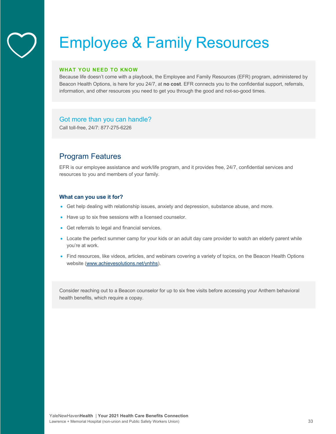## Employee & Family Resources

#### **WHAT YOU NEED TO KNOW**

Because life doesn't come with a playbook, the Employee and Family Resources (EFR) program, administered by Beacon Health Options, is here for you 24/7, at **no cost**. EFR connects you to the confidential support, referrals, information, and other resources you need to get you through the good and not-so-good times.

#### Got more than you can handle?

Call toll-free, 24/7: 877-275-6226

## Program Features

EFR is our employee assistance and work/life program, and it provides free, 24/7, confidential services and resources to you and members of your family.

#### **What can you use it for?**

- Get help dealing with relationship issues, anxiety and depression, substance abuse, and more.
- Have up to six free sessions with a licensed counselor.
- Get referrals to legal and financial services.
- Locate the perfect summer camp for your kids or an adult day care provider to watch an elderly parent while you're at work.
- Find resources, like videos, articles, and webinars covering a variety of topics, on the Beacon Health Options website (www.achievesolutions.net/ynhhs).

Consider reaching out to a Beacon counselor for up to six free visits before accessing your Anthem behavioral health benefits, which require a copay.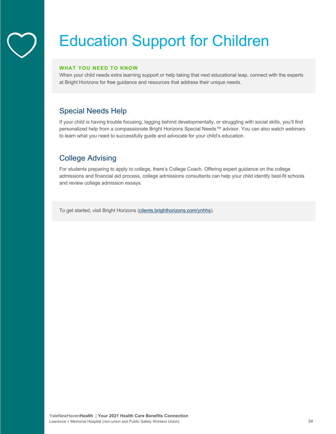# Education Support for Children

#### **WHAT YOU NEED TO KNOW**

When your child needs extra learning support or help taking that next educational leap, connect with the experts at Bright Horizons for free guidance and resources that address their unique needs.

## Special Needs Help

If your child is having trouble focusing, lagging behind developmentally, or struggling with social skills, you'll find personalized help from a compassionate Bright Horizons Special Needs™ advisor. You can also watch webinars to learn what you need to successfully guide and advocate for your child's education.

## College Advising

For students preparing to apply to college, there's College Coach. Offering expert guidance on the college admissions and financial aid process, college admissions consultants can help your child identify best-fit schools and review college admission essays.

To get started, visit Bright Horizons (clients.brighthorizons.com/ynhhs).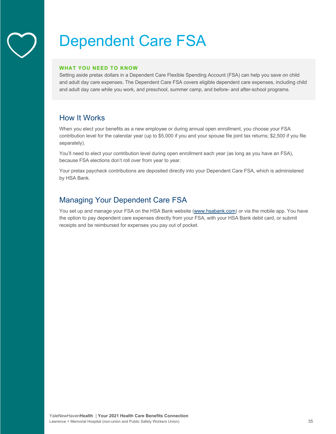## Dependent Care FSA

#### **WHAT YOU NEED TO KNOW**

Setting aside pretax dollars in a Dependent Care Flexible Spending Account (FSA) can help you save on child and adult day care expenses. The Dependent Care FSA covers eligible dependent care expenses, including child and adult day care while you work, and preschool, summer camp, and before- and after-school programs.

## How It Works

When you elect your benefits as a new employee or during annual open enrollment, you choose your FSA contribution level for the calendar year (up to \$5,000 if you and your spouse file joint tax returns; \$2,500 if you file separately).

You'll need to elect your contribution level during open enrollment each year (as long as you have an FSA), because FSA elections don't roll over from year to year.

Your pretax paycheck contributions are deposited directly into your Dependent Care FSA, which is administered by HSA Bank.

## Managing Your Dependent Care FSA

You set up and manage your FSA on the HSA Bank website (www.hsabank.com) or via the mobile app. You have the option to pay dependent care expenses directly from your FSA, with your HSA Bank debit card, or submit receipts and be reimbursed for expenses you pay out of pocket.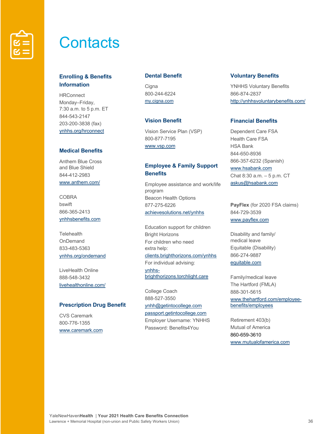

## **Contacts**

### **Enrolling & Benefits Information**

**HRConnect** Monday–Friday, 7:30 a.m. to 5 p.m. ET 844-543-2147 203-200-3838 (fax) ynhhs.org/hrconnect

#### **Medical Benefits**

Anthem Blue Cross and Blue Shield 844-412-2983 www.anthem.com/

COBRA bswift 866-365-2413 ynhhsbenefits.com

**Telehealth OnDemand** 833-483-5363 ynhhs.org/ondemand

LiveHealth Online 888-548-3432 livehealthonline.com/

#### **Prescription Drug Benefit**

CVS Caremark 800-776-1355 www.caremark.com

#### **Dental Benefit**

**Cigna** 800-244-6224 my.cigna.com

#### **Vision Benefit**

Vision Service Plan (VSP) 800-877-7195 www.vsp.com

#### **Employee & Family Support Benefits**

Employee assistance and work/life program Beacon Health Options 877-275-6226 achievesolutions.net/ynhhs

Education support for children Bright Horizons For children who need extra help: clients.brighthorizons.com/ynhhs For individual advising: ynhhsbrighthorizons.torchlight.care

College Coach 888-527-3550 ynhh@getintocollege.com passport.getintocollege.com Employer Username: YNHHS Password: Benefits4You

#### **Voluntary Benefits**

YNHHS Voluntary Benefits 866-874-2837 http://ynhhsvoluntarybenefits.com/

#### **Financial Benefits**

Dependent Care FSA Health Care FSA HSA Bank 844-650-8936 866-357-6232 (Spanish) www.hsabank.com Chat 8:30 a.m. – 5 p.m. CT askus@hsabank.com

**PayFlex** (for 2020 FSA claims) 844-729-3539 www.payflex.com

Disability and family/ medical leave Equitable (Disability) 866-274-9887 equitable.com

Family/medical leave The Hartford (FMLA) 888-301-5615 www.thehartford.com/employeebenefits/employees

Retirement 403(b) Mutual of America 860-659-3610 www.mutualofamerica.com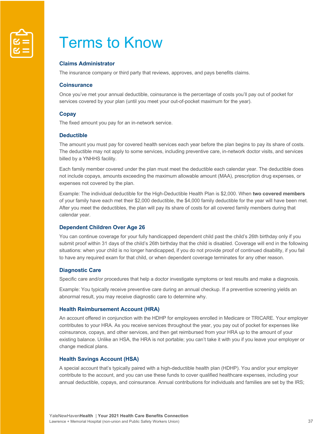

## Terms to Know

#### **Claims Administrator**

The insurance company or third party that reviews, approves, and pays benefits claims.

#### **Coinsurance**

Once you've met your annual deductible, coinsurance is the percentage of costs you'll pay out of pocket for services covered by your plan (until you meet your out-of-pocket maximum for the year).

#### **Copay**

The fixed amount you pay for an in-network service.

#### **Deductible**

The amount you must pay for covered health services each year before the plan begins to pay its share of costs. The deductible may not apply to some services, including preventive care, in-network doctor visits, and services billed by a YNHHS facility.

Each family member covered under the plan must meet the deductible each calendar year. The deductible does not include copays, amounts exceeding the maximum allowable amount (MAA), prescription drug expenses, or expenses not covered by the plan.

Example: The individual deductible for the High-Deductible Health Plan is \$2,000. When **two covered members** of your family have each met their \$2,000 deductible, the \$4,000 family deductible for the year will have been met. After you meet the deductibles, the plan will pay its share of costs for all covered family members during that calendar year.

#### **Dependent Children Over Age 26**

You can continue coverage for your fully handicapped dependent child past the child's 26th birthday only if you submit proof within 31 days of the child's 26th birthday that the child is disabled. Coverage will end in the following situations: when your child is no longer handicapped, if you do not provide proof of continued disability, if you fail to have any required exam for that child, or when dependent coverage terminates for any other reason.

#### **Diagnostic Care**

Specific care and/or procedures that help a doctor investigate symptoms or test results and make a diagnosis.

Example: You typically receive preventive care during an annual checkup. If a preventive screening yields an abnormal result, you may receive diagnostic care to determine why.

#### **Health Reimbursement Account (HRA)**

An account offered in conjunction with the HDHP for employees enrolled in Medicare or TRICARE. Your employer contributes to your HRA. As you receive services throughout the year, you pay out of pocket for expenses like coinsurance, copays, and other services, and then get reimbursed from your HRA up to the amount of your existing balance. Unlike an HSA, the HRA is not portable; you can't take it with you if you leave your employer or change medical plans.

#### **Health Savings Account (HSA)**

A special account that's typically paired with a high-deductible health plan (HDHP). You and/or your employer contribute to the account, and you can use these funds to cover qualified healthcare expenses, including your annual deductible, copays, and coinsurance. Annual contributions for individuals and families are set by the IRS;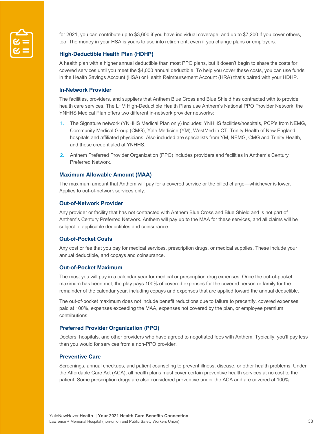

for 2021, you can contribute up to \$3,600 if you have individual coverage, and up to \$7,200 if you cover others, too. The money in your HSA is yours to use into retirement, even if you change plans or employers.

#### **High-Deductible Health Plan (HDHP)**

A health plan with a higher annual deductible than most PPO plans, but it doesn't begin to share the costs for covered services until you meet the \$4,000 annual deductible. To help you cover these costs, you can use funds in the Health Savings Account (HSA) or Health Reimbursement Account (HRA) that's paired with your HDHP.

#### **In-Network Provider**

The facilities, providers, and suppliers that Anthem Blue Cross and Blue Shield has contracted with to provide health care services. The L+M High-Deductible Health Plans use Anthem's National PPO Provider Network; the YNHHS Medical Plan offers two different in-network provider networks:

- 1. The Signature network (YNHHS Medical Plan only) includes: YNHHS facilities/hospitals, PCP's from NEMG, Community Medical Group (CMG), Yale Medicine (YM), WestMed in CT, Trinity Health of New England hospitals and affiliated physicians. Also included are specialists from YM, NEMG, CMG and Trinity Health, and those credentialed at YNHHS.
- 2. Anthem Preferred Provider Organization (PPO) includes providers and facilities in Anthem's Century Preferred Network.

#### **Maximum Allowable Amount (MAA)**

The maximum amount that Anthem will pay for a covered service or the billed charge—whichever is lower. Applies to out-of-network services only.

#### **Out-of-Network Provider**

Any provider or facility that has not contracted with Anthem Blue Cross and Blue Shield and is not part of Anthem's Century Preferred Network. Anthem will pay up to the MAA for these services, and all claims will be subject to applicable deductibles and coinsurance.

#### **Out-of-Pocket Costs**

Any cost or fee that you pay for medical services, prescription drugs, or medical supplies. These include your annual deductible, and copays and coinsurance.

#### **Out-of-Pocket Maximum**

The most you will pay in a calendar year for medical or prescription drug expenses. Once the out-of-pocket maximum has been met, the play pays 100% of covered expenses for the covered person or family for the remainder of the calendar year, including copays and expenses that are applied toward the annual deductible.

The out-of-pocket maximum does not include benefit reductions due to failure to precertify, covered expenses paid at 100%, expenses exceeding the MAA, expenses not covered by the plan, or employee premium contributions.

#### **Preferred Provider Organization (PPO)**

Doctors, hospitals, and other providers who have agreed to negotiated fees with Anthem. Typically, you'll pay less than you would for services from a non-PPO provider.

#### **Preventive Care**

Screenings, annual checkups, and patient counseling to prevent illness, disease, or other health problems. Under the Affordable Care Act (ACA), all health plans must cover certain preventive health services at no cost to the patient. Some prescription drugs are also considered preventive under the ACA and are covered at 100%.